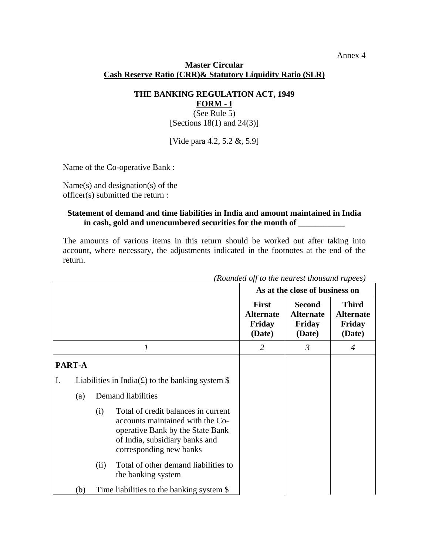## Annex 4

## **Master Circular Cash Reserve Ratio (CRR)& Statutory Liquidity Ratio (SLR)**

**THE BANKING REGULATION ACT, 1949 FORM - I**

(See Rule 5) [Sections  $18(1)$  and  $24(3)$ ]

[Vide para 4.2, 5.2 &, 5.9]

Name of the Co-operative Bank :

Name(s) and designation(s) of the officer(s) submitted the return :

## **Statement of demand and time liabilities in India and amount maintained in India in cash, gold and unencumbered securities for the month of \_\_\_\_\_\_\_\_\_\_\_**

The amounts of various items in this return should be worked out after taking into account, where necessary, the adjustments indicated in the footnotes at the end of the return.

|    |        |                                                  |                                                                                                                                                                          | $\mu$ койнией оргался нейтезг тойзани тиреез $\mu$<br>As at the close of business on |                                                       |                                                      |
|----|--------|--------------------------------------------------|--------------------------------------------------------------------------------------------------------------------------------------------------------------------------|--------------------------------------------------------------------------------------|-------------------------------------------------------|------------------------------------------------------|
|    |        |                                                  |                                                                                                                                                                          | <b>First</b><br><b>Alternate</b><br>Friday<br>(Date)                                 | <b>Second</b><br><b>Alternate</b><br>Friday<br>(Date) | <b>Third</b><br><b>Alternate</b><br>Friday<br>(Date) |
|    | 1      |                                                  |                                                                                                                                                                          | $\overline{2}$                                                                       | $\mathfrak{Z}$                                        | 4                                                    |
|    | PART-A |                                                  |                                                                                                                                                                          |                                                                                      |                                                       |                                                      |
| I. |        | Liabilities in India(£) to the banking system \$ |                                                                                                                                                                          |                                                                                      |                                                       |                                                      |
|    | (a)    |                                                  | Demand liabilities                                                                                                                                                       |                                                                                      |                                                       |                                                      |
|    |        | (i)                                              | Total of credit balances in current<br>accounts maintained with the Co-<br>operative Bank by the State Bank<br>of India, subsidiary banks and<br>corresponding new banks |                                                                                      |                                                       |                                                      |
|    |        | (ii)                                             | Total of other demand liabilities to<br>the banking system                                                                                                               |                                                                                      |                                                       |                                                      |
|    | (b)    |                                                  | Time liabilities to the banking system \$                                                                                                                                |                                                                                      |                                                       |                                                      |

*(Rounded off to the nearest thousand rupees)*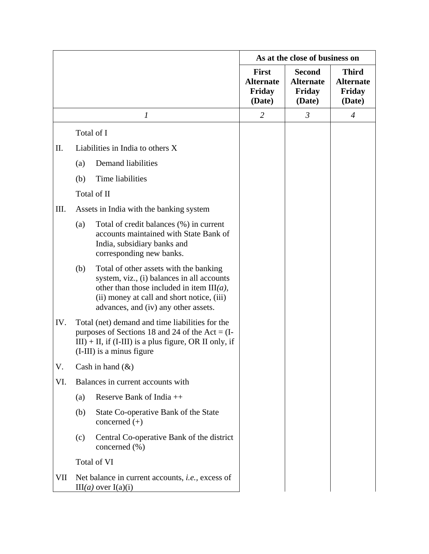|     |                                                                                                                                                                                                |                                                                                                                                                                                                                            | As at the close of business on                       |                                                       |                                                      |
|-----|------------------------------------------------------------------------------------------------------------------------------------------------------------------------------------------------|----------------------------------------------------------------------------------------------------------------------------------------------------------------------------------------------------------------------------|------------------------------------------------------|-------------------------------------------------------|------------------------------------------------------|
|     |                                                                                                                                                                                                |                                                                                                                                                                                                                            | <b>First</b><br><b>Alternate</b><br>Friday<br>(Date) | <b>Second</b><br><b>Alternate</b><br>Friday<br>(Date) | <b>Third</b><br><b>Alternate</b><br>Friday<br>(Date) |
|     |                                                                                                                                                                                                | $\boldsymbol{l}$                                                                                                                                                                                                           | $\overline{2}$                                       | $\mathfrak{Z}$                                        | $\overline{4}$                                       |
|     |                                                                                                                                                                                                | Total of I                                                                                                                                                                                                                 |                                                      |                                                       |                                                      |
| Π.  |                                                                                                                                                                                                | Liabilities in India to others X                                                                                                                                                                                           |                                                      |                                                       |                                                      |
|     | (a)                                                                                                                                                                                            | Demand liabilities                                                                                                                                                                                                         |                                                      |                                                       |                                                      |
|     | (b)                                                                                                                                                                                            | Time liabilities                                                                                                                                                                                                           |                                                      |                                                       |                                                      |
|     |                                                                                                                                                                                                | Total of II                                                                                                                                                                                                                |                                                      |                                                       |                                                      |
| Ш.  | Assets in India with the banking system                                                                                                                                                        |                                                                                                                                                                                                                            |                                                      |                                                       |                                                      |
|     | (a)                                                                                                                                                                                            | Total of credit balances (%) in current<br>accounts maintained with State Bank of<br>India, subsidiary banks and<br>corresponding new banks.                                                                               |                                                      |                                                       |                                                      |
|     | (b)                                                                                                                                                                                            | Total of other assets with the banking<br>system, viz., (i) balances in all accounts<br>other than those included in item $III(a)$ ,<br>(ii) money at call and short notice, (iii)<br>advances, and (iv) any other assets. |                                                      |                                                       |                                                      |
| IV. | Total (net) demand and time liabilities for the<br>purposes of Sections 18 and 24 of the Act = $(I-$<br>$III$ ) + II, if (I-III) is a plus figure, OR II only, if<br>(I-III) is a minus figure |                                                                                                                                                                                                                            |                                                      |                                                       |                                                      |
| V.  |                                                                                                                                                                                                | Cash in hand $(\&)$                                                                                                                                                                                                        |                                                      |                                                       |                                                      |
| VI. |                                                                                                                                                                                                | Balances in current accounts with                                                                                                                                                                                          |                                                      |                                                       |                                                      |
|     | (a)                                                                                                                                                                                            | Reserve Bank of India $++$                                                                                                                                                                                                 |                                                      |                                                       |                                                      |
|     | (b)                                                                                                                                                                                            | State Co-operative Bank of the State<br>concerned $(+)$                                                                                                                                                                    |                                                      |                                                       |                                                      |
|     | (c)                                                                                                                                                                                            | Central Co-operative Bank of the district<br>concerned $(\% )$                                                                                                                                                             |                                                      |                                                       |                                                      |
|     |                                                                                                                                                                                                | Total of VI                                                                                                                                                                                                                |                                                      |                                                       |                                                      |
| VII |                                                                                                                                                                                                | Net balance in current accounts, <i>i.e.</i> , excess of<br>$III(a)$ over $I(a)(i)$                                                                                                                                        |                                                      |                                                       |                                                      |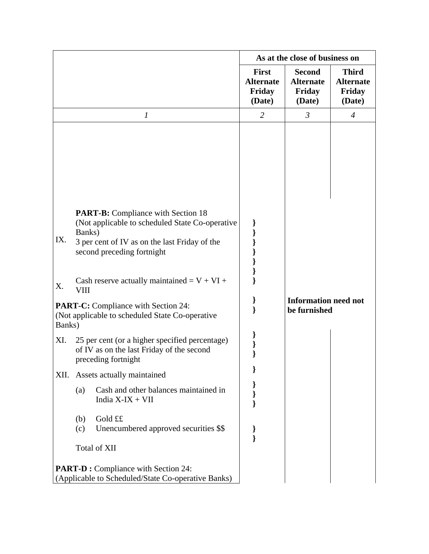|                                                                                                          |                                                                                                                                                                                                                                         | As at the close of business on                       |                                                       |                                                      |  |
|----------------------------------------------------------------------------------------------------------|-----------------------------------------------------------------------------------------------------------------------------------------------------------------------------------------------------------------------------------------|------------------------------------------------------|-------------------------------------------------------|------------------------------------------------------|--|
|                                                                                                          |                                                                                                                                                                                                                                         | <b>First</b><br><b>Alternate</b><br>Friday<br>(Date) | <b>Second</b><br><b>Alternate</b><br>Friday<br>(Date) | <b>Third</b><br><b>Alternate</b><br>Friday<br>(Date) |  |
|                                                                                                          | $\boldsymbol{l}$                                                                                                                                                                                                                        | $\overline{2}$                                       | $\mathfrak{Z}$                                        | $\overline{4}$                                       |  |
| IX.                                                                                                      | <b>PART-B:</b> Compliance with Section 18<br>(Not applicable to scheduled State Co-operative)<br>Banks)<br>3 per cent of IV as on the last Friday of the<br>second preceding fortnight<br>Cash reserve actually maintained = $V + VI +$ |                                                      |                                                       |                                                      |  |
|                                                                                                          | X.<br><b>VIII</b>                                                                                                                                                                                                                       |                                                      |                                                       |                                                      |  |
| <b>PART-C:</b> Compliance with Section 24:<br>(Not applicable to scheduled State Co-operative)<br>Banks) |                                                                                                                                                                                                                                         |                                                      | <b>Information need not</b><br>be furnished           |                                                      |  |
| XI.                                                                                                      | 25 per cent (or a higher specified percentage)<br>of IV as on the last Friday of the second<br>preceding fortnight                                                                                                                      |                                                      |                                                       |                                                      |  |
|                                                                                                          | XII. Assets actually maintained                                                                                                                                                                                                         | }                                                    |                                                       |                                                      |  |
|                                                                                                          | Cash and other balances maintained in<br>(a)<br>India $X$ -I $X + VII$                                                                                                                                                                  | ∤                                                    |                                                       |                                                      |  |
|                                                                                                          | Gold ££<br>(b)<br>Unencumbered approved securities \$\$<br>(c)                                                                                                                                                                          | ł                                                    |                                                       |                                                      |  |
|                                                                                                          | Total of XII                                                                                                                                                                                                                            |                                                      |                                                       |                                                      |  |
| <b>PART-D:</b> Compliance with Section 24:<br>(Applicable to Scheduled/State Co-operative Banks)         |                                                                                                                                                                                                                                         |                                                      |                                                       |                                                      |  |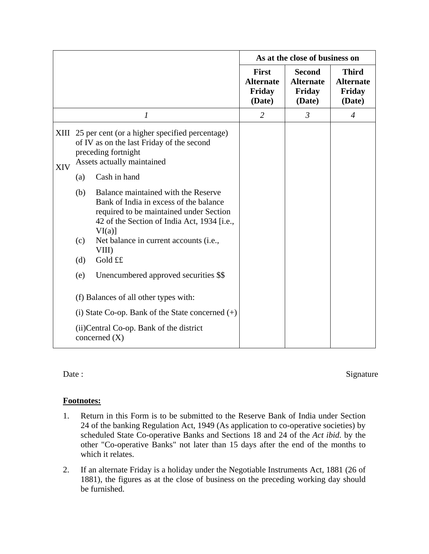|     |                                                             |                                                                                                                                                                                                                                                    | As at the close of business on                       |                                                       |                                                      |
|-----|-------------------------------------------------------------|----------------------------------------------------------------------------------------------------------------------------------------------------------------------------------------------------------------------------------------------------|------------------------------------------------------|-------------------------------------------------------|------------------------------------------------------|
|     |                                                             |                                                                                                                                                                                                                                                    | <b>First</b><br><b>Alternate</b><br>Friday<br>(Date) | <b>Second</b><br><b>Alternate</b><br>Friday<br>(Date) | <b>Third</b><br><b>Alternate</b><br>Friday<br>(Date) |
|     |                                                             | 1                                                                                                                                                                                                                                                  | $\overline{2}$                                       | $\mathfrak{Z}$                                        | $\overline{4}$                                       |
| XIV | (a)                                                         | XIII 25 per cent (or a higher specified percentage)<br>of IV as on the last Friday of the second<br>preceding fortnight<br>Assets actually maintained<br>Cash in hand                                                                              |                                                      |                                                       |                                                      |
|     | (b)<br>(c)<br>(d)                                           | Balance maintained with the Reserve<br>Bank of India in excess of the balance<br>required to be maintained under Section<br>42 of the Section of India Act, 1934 [i.e.,<br>$VI(a)$ ]<br>Net balance in current accounts (i.e.,<br>VIII)<br>Gold ££ |                                                      |                                                       |                                                      |
|     | (e)                                                         | Unencumbered approved securities \$\$                                                                                                                                                                                                              |                                                      |                                                       |                                                      |
|     |                                                             | (f) Balances of all other types with:                                                                                                                                                                                                              |                                                      |                                                       |                                                      |
|     |                                                             | (i) State Co-op. Bank of the State concerned $(+)$                                                                                                                                                                                                 |                                                      |                                                       |                                                      |
|     | (ii) Central Co-op. Bank of the district<br>concerned $(X)$ |                                                                                                                                                                                                                                                    |                                                      |                                                       |                                                      |

Date : Signature

## **Footnotes:**

- 1. Return in this Form is to be submitted to the Reserve Bank of India under Section 24 of the banking Regulation Act, 1949 (As application to co-operative societies) by scheduled State Co-operative Banks and Sections 18 and 24 of the *Act ibid.* by the other "Co-operative Banks" not later than 15 days after the end of the months to which it relates.
- 2. If an alternate Friday is a holiday under the Negotiable Instruments Act, 1881 (26 of 1881), the figures as at the close of business on the preceding working day should be furnished.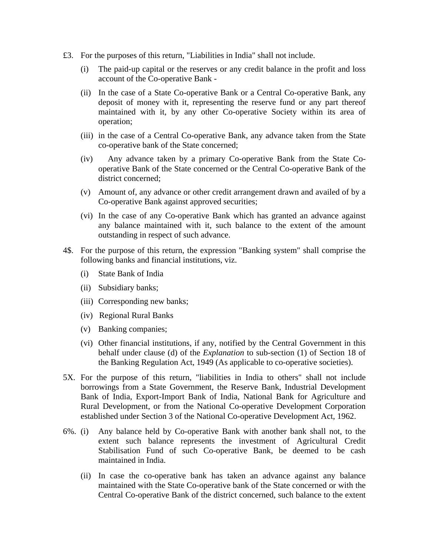- £3. For the purposes of this return, "Liabilities in India" shall not include.
	- (i) The paid-up capital or the reserves or any credit balance in the profit and loss account of the Co-operative Bank -
	- (ii) In the case of a State Co-operative Bank or a Central Co-operative Bank, any deposit of money with it, representing the reserve fund or any part thereof maintained with it, by any other Co-operative Society within its area of operation;
	- (iii) in the case of a Central Co-operative Bank, any advance taken from the State co-operative bank of the State concerned;
	- (iv) Any advance taken by a primary Co-operative Bank from the State Cooperative Bank of the State concerned or the Central Co-operative Bank of the district concerned;
	- (v) Amount of, any advance or other credit arrangement drawn and availed of by a Co-operative Bank against approved securities;
	- (vi) In the case of any Co-operative Bank which has granted an advance against any balance maintained with it, such balance to the extent of the amount outstanding in respect of such advance.
- 4\$. For the purpose of this return, the expression "Banking system" shall comprise the following banks and financial institutions, viz.
	- (i) State Bank of India
	- (ii) Subsidiary banks;
	- (iii) Corresponding new banks;
	- (iv) Regional Rural Banks
	- (v) Banking companies;
	- (vi) Other financial institutions, if any, notified by the Central Government in this behalf under clause (d) of the *Explanation* to sub-section (1) of Section 18 of the Banking Regulation Act, 1949 (As applicable to co-operative societies).
- 5X. For the purpose of this return, "liabilities in India to others" shall not include borrowings from a State Government, the Reserve Bank, Industrial Development Bank of India, Export-Import Bank of India, National Bank for Agriculture and Rural Development, or from the National Co-operative Development Corporation established under Section 3 of the National Co-operative Development Act, 1962.
- 6%. (i) Any balance held by Co-operative Bank with another bank shall not, to the extent such balance represents the investment of Agricultural Credit Stabilisation Fund of such Co-operative Bank, be deemed to be cash maintained in India.
	- (ii) In case the co-operative bank has taken an advance against any balance maintained with the State Co-operative bank of the State concerned or with the Central Co-operative Bank of the district concerned, such balance to the extent